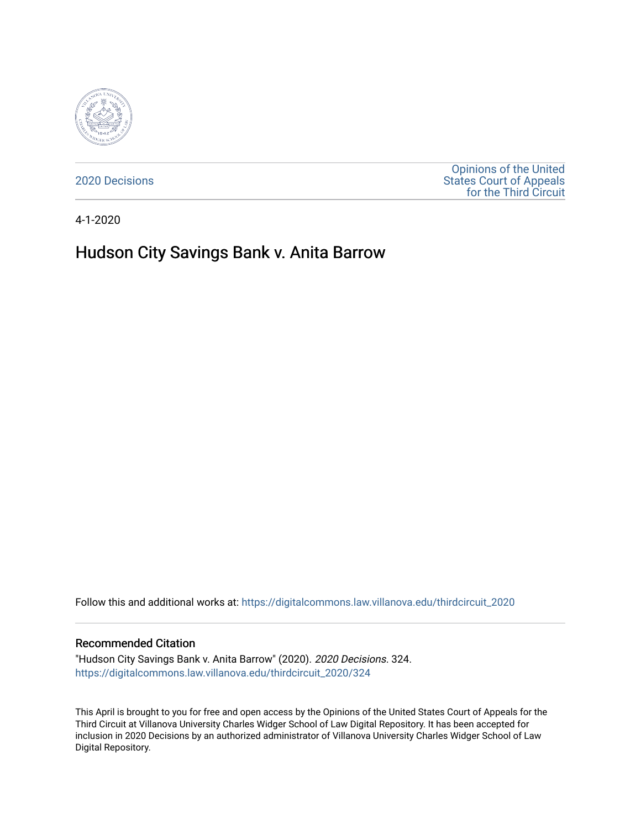

[2020 Decisions](https://digitalcommons.law.villanova.edu/thirdcircuit_2020)

[Opinions of the United](https://digitalcommons.law.villanova.edu/thirdcircuit)  [States Court of Appeals](https://digitalcommons.law.villanova.edu/thirdcircuit)  [for the Third Circuit](https://digitalcommons.law.villanova.edu/thirdcircuit) 

4-1-2020

# Hudson City Savings Bank v. Anita Barrow

Follow this and additional works at: [https://digitalcommons.law.villanova.edu/thirdcircuit\\_2020](https://digitalcommons.law.villanova.edu/thirdcircuit_2020?utm_source=digitalcommons.law.villanova.edu%2Fthirdcircuit_2020%2F324&utm_medium=PDF&utm_campaign=PDFCoverPages) 

#### Recommended Citation

"Hudson City Savings Bank v. Anita Barrow" (2020). 2020 Decisions. 324. [https://digitalcommons.law.villanova.edu/thirdcircuit\\_2020/324](https://digitalcommons.law.villanova.edu/thirdcircuit_2020/324?utm_source=digitalcommons.law.villanova.edu%2Fthirdcircuit_2020%2F324&utm_medium=PDF&utm_campaign=PDFCoverPages)

This April is brought to you for free and open access by the Opinions of the United States Court of Appeals for the Third Circuit at Villanova University Charles Widger School of Law Digital Repository. It has been accepted for inclusion in 2020 Decisions by an authorized administrator of Villanova University Charles Widger School of Law Digital Repository.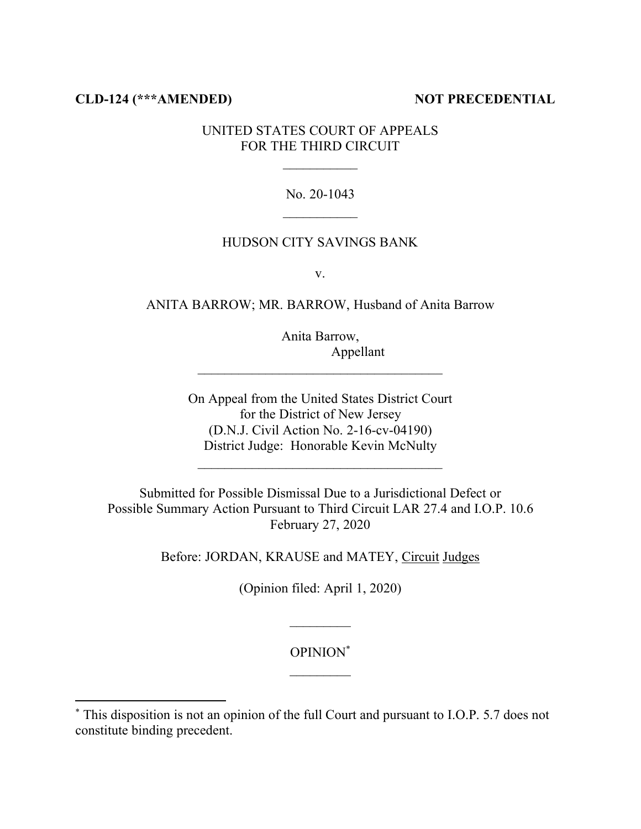# **CLD-124 (\*\*\*AMENDED) NOT PRECEDENTIAL**

# UNITED STATES COURT OF APPEALS FOR THE THIRD CIRCUIT

#### No. 20-1043

## HUDSON CITY SAVINGS BANK

v.

ANITA BARROW; MR. BARROW, Husband of Anita Barrow

Anita Barrow, Appellant

On Appeal from the United States District Court for the District of New Jersey (D.N.J. Civil Action No. 2-16-cv-04190) District Judge: Honorable Kevin McNulty

 $\mathcal{L}_\text{max}$ 

Submitted for Possible Dismissal Due to a Jurisdictional Defect or Possible Summary Action Pursuant to Third Circuit LAR 27.4 and I.O.P. 10.6 February 27, 2020

Before: JORDAN, KRAUSE and MATEY, Circuit Judges

(Opinion filed: April 1, 2020)

## OPINION\*

 $\mathcal{L}_\text{max}$ 

<sup>\*</sup> This disposition is not an opinion of the full Court and pursuant to I.O.P. 5.7 does not constitute binding precedent.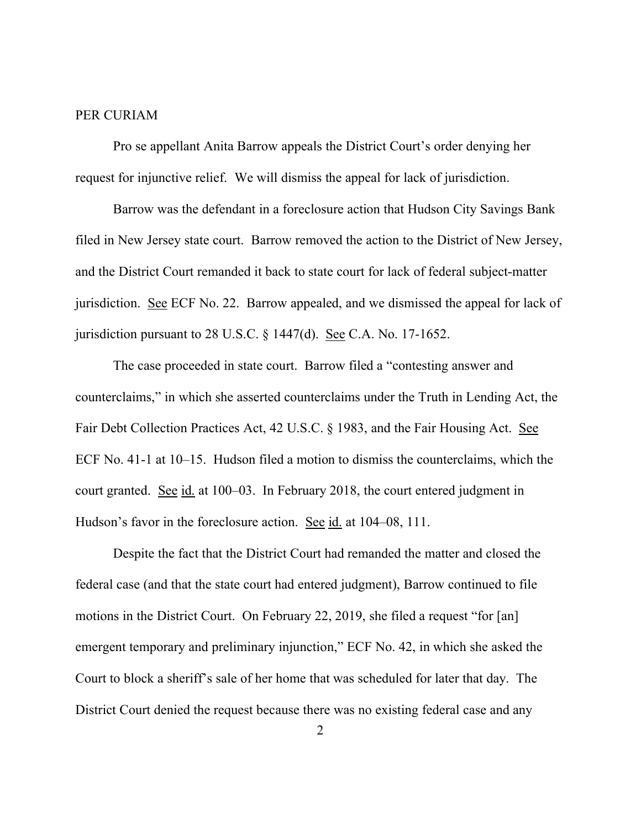#### PER CURIAM

Pro se appellant Anita Barrow appeals the District Court's order denying her request for injunctive relief. We will dismiss the appeal for lack of jurisdiction.

Barrow was the defendant in a foreclosure action that Hudson City Savings Bank filed in New Jersey state court. Barrow removed the action to the District of New Jersey, and the District Court remanded it back to state court for lack of federal subject-matter jurisdiction. See ECF No. 22. Barrow appealed, and we dismissed the appeal for lack of jurisdiction pursuant to 28 U.S.C. § 1447(d). See C.A. No. 17-1652.

The case proceeded in state court. Barrow filed a "contesting answer and counterclaims," in which she asserted counterclaims under the Truth in Lending Act, the Fair Debt Collection Practices Act, 42 U.S.C. § 1983, and the Fair Housing Act. See ECF No. 41-1 at 10–15. Hudson filed a motion to dismiss the counterclaims, which the court granted. See id. at 100–03. In February 2018, the court entered judgment in Hudson's favor in the foreclosure action. See id. at 104–08, 111.

Despite the fact that the District Court had remanded the matter and closed the federal case (and that the state court had entered judgment), Barrow continued to file motions in the District Court. On February 22, 2019, she filed a request "for [an] emergent temporary and preliminary injunction," ECF No. 42, in which she asked the Court to block a sheriff's sale of her home that was scheduled for later that day. The District Court denied the request because there was no existing federal case and any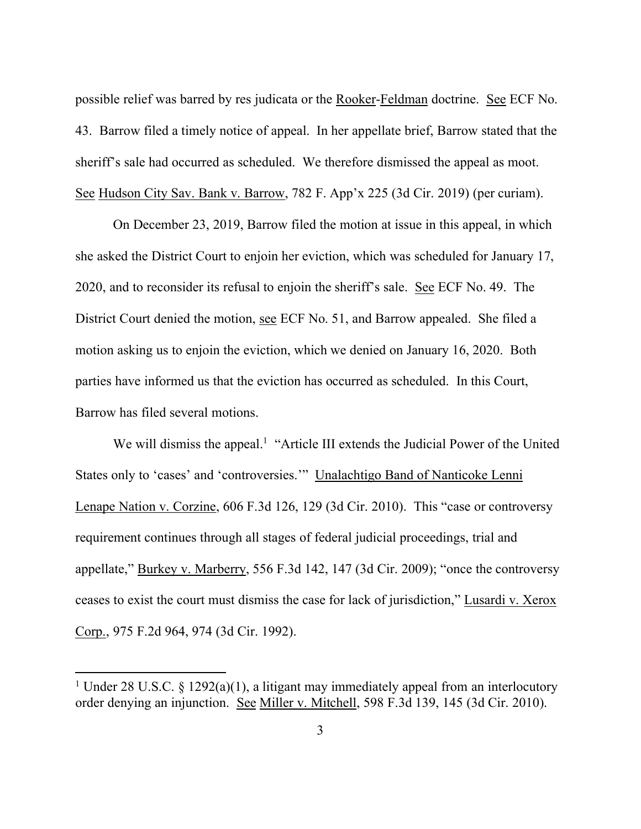possible relief was barred by res judicata or the Rooker-Feldman doctrine. See ECF No. 43. Barrow filed a timely notice of appeal. In her appellate brief, Barrow stated that the sheriff's sale had occurred as scheduled. We therefore dismissed the appeal as moot. See Hudson City Sav. Bank v. Barrow, 782 F. App'x 225 (3d Cir. 2019) (per curiam).

On December 23, 2019, Barrow filed the motion at issue in this appeal, in which she asked the District Court to enjoin her eviction, which was scheduled for January 17, 2020, and to reconsider its refusal to enjoin the sheriff's sale. See ECF No. 49. The District Court denied the motion, see ECF No. 51, and Barrow appealed. She filed a motion asking us to enjoin the eviction, which we denied on January 16, 2020. Both parties have informed us that the eviction has occurred as scheduled. In this Court, Barrow has filed several motions.

We will dismiss the appeal.<sup>1</sup> "Article III extends the Judicial Power of the United States only to 'cases' and 'controversies.'" Unalachtigo Band of Nanticoke Lenni Lenape Nation v. Corzine, 606 F.3d 126, 129 (3d Cir. 2010). This "case or controversy requirement continues through all stages of federal judicial proceedings, trial and appellate," Burkey v. Marberry, 556 F.3d 142, 147 (3d Cir. 2009); "once the controversy ceases to exist the court must dismiss the case for lack of jurisdiction," Lusardi v. Xerox Corp., 975 F.2d 964, 974 (3d Cir. 1992).

<sup>&</sup>lt;sup>1</sup> Under 28 U.S.C. § 1292(a)(1), a litigant may immediately appeal from an interlocutory order denying an injunction. See Miller v. Mitchell, 598 F.3d 139, 145 (3d Cir. 2010).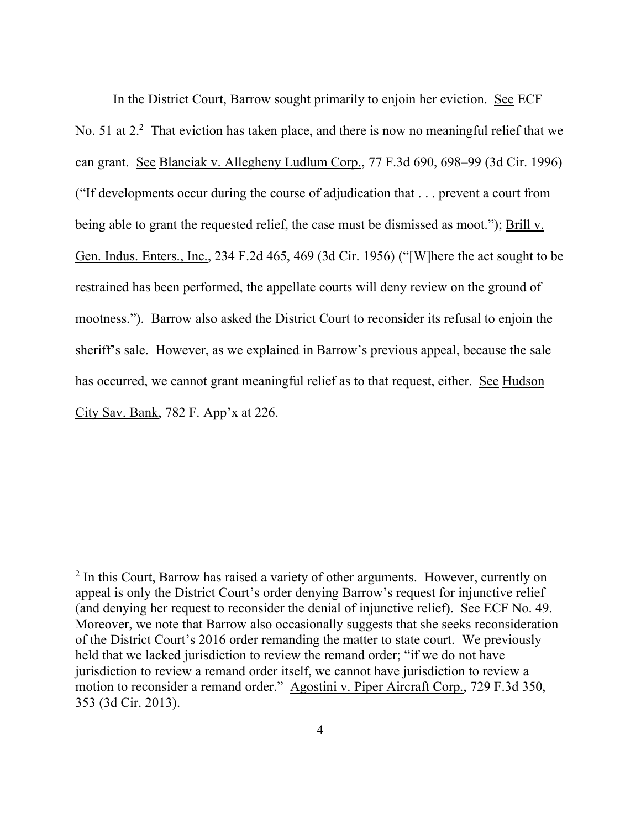In the District Court, Barrow sought primarily to enjoin her eviction. See ECF No. 51 at 2.<sup>2</sup> That eviction has taken place, and there is now no meaningful relief that we can grant. See Blanciak v. Allegheny Ludlum Corp., 77 F.3d 690, 698–99 (3d Cir. 1996) ("If developments occur during the course of adjudication that . . . prevent a court from being able to grant the requested relief, the case must be dismissed as moot."); Brill v. Gen. Indus. Enters., Inc., 234 F.2d 465, 469 (3d Cir. 1956) ("[W]here the act sought to be restrained has been performed, the appellate courts will deny review on the ground of mootness."). Barrow also asked the District Court to reconsider its refusal to enjoin the sheriff's sale. However, as we explained in Barrow's previous appeal, because the sale has occurred, we cannot grant meaningful relief as to that request, either. See Hudson City Sav. Bank, 782 F. App'x at 226.

<sup>&</sup>lt;sup>2</sup> In this Court, Barrow has raised a variety of other arguments. However, currently on appeal is only the District Court's order denying Barrow's request for injunctive relief (and denying her request to reconsider the denial of injunctive relief). See ECF No. 49. Moreover, we note that Barrow also occasionally suggests that she seeks reconsideration of the District Court's 2016 order remanding the matter to state court. We previously held that we lacked jurisdiction to review the remand order; "if we do not have jurisdiction to review a remand order itself, we cannot have jurisdiction to review a motion to reconsider a remand order." Agostini v. Piper Aircraft Corp., 729 F.3d 350, 353 (3d Cir. 2013).